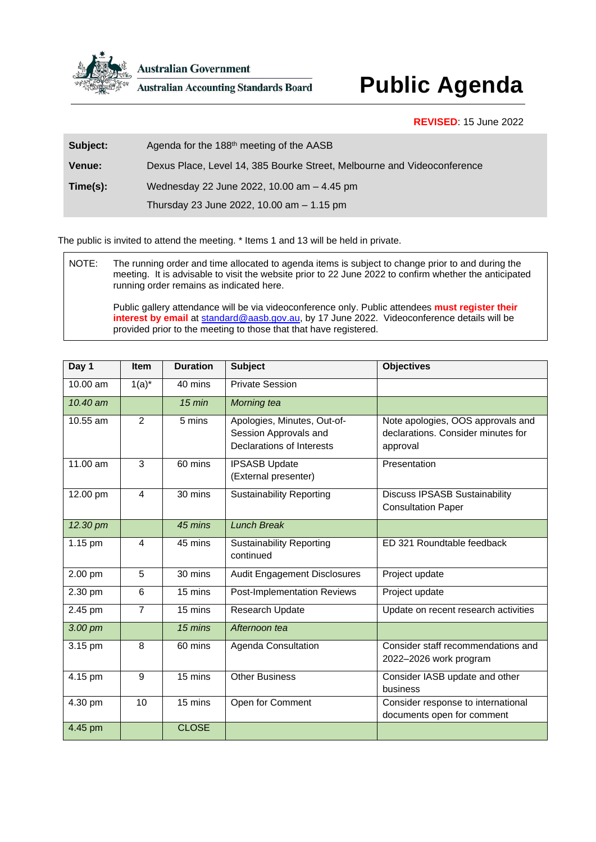

**Australian Government** 

**Australian Accounting Standards Board** 

## **Public Agenda**

**REVISED**: 15 June 2022

| Subject:      | Agenda for the 188 <sup>th</sup> meeting of the AASB                    |
|---------------|-------------------------------------------------------------------------|
| <b>Venue:</b> | Dexus Place, Level 14, 385 Bourke Street, Melbourne and Videoconference |
| Time(s):      | Wednesday 22 June 2022, 10.00 am - 4.45 pm                              |
|               | Thursday 23 June 2022, 10.00 am - 1.15 pm                               |

The public is invited to attend the meeting. \* Items 1 and 13 will be held in private.

NOTE: The running order and time allocated to agenda items is subject to change prior to and during the meeting. It is advisable to visit the website prior to 22 June 2022 to confirm whether the anticipated running order remains as indicated here.

Public gallery attendance will be via videoconference only. Public attendees **must register their**  interest by email at [standard@aasb.gov.au,](mailto:standard@aasb.gov.au) by 17 June 2022. Videoconference details will be provided prior to the meeting to those that that have registered.

| Day 1      | <b>Item</b>    | <b>Duration</b> | <b>Subject</b>                                                                           | <b>Objectives</b>                                                                   |
|------------|----------------|-----------------|------------------------------------------------------------------------------------------|-------------------------------------------------------------------------------------|
| 10.00 am   | $1(a)^*$       | 40 mins         | <b>Private Session</b>                                                                   |                                                                                     |
| 10.40 am   |                | $15$ min        | Morning tea                                                                              |                                                                                     |
| 10.55 am   | 2              | 5 mins          | Apologies, Minutes, Out-of-<br>Session Approvals and<br><b>Declarations of Interests</b> | Note apologies, OOS approvals and<br>declarations. Consider minutes for<br>approval |
| $11.00$ am | 3              | 60 mins         | <b>IPSASB Update</b><br>(External presenter)                                             | Presentation                                                                        |
| 12.00 pm   | 4              | 30 mins         | <b>Sustainability Reporting</b>                                                          | <b>Discuss IPSASB Sustainability</b><br><b>Consultation Paper</b>                   |
| 12.30 pm   |                | 45 mins         | <b>Lunch Break</b>                                                                       |                                                                                     |
| 1.15 pm    | 4              | 45 mins         | <b>Sustainability Reporting</b><br>continued                                             | ED 321 Roundtable feedback                                                          |
| 2.00 pm    | 5              | 30 mins         | <b>Audit Engagement Disclosures</b>                                                      | Project update                                                                      |
| 2.30 pm    | 6              | 15 mins         | Post-Implementation Reviews                                                              | Project update                                                                      |
| 2.45 pm    | $\overline{7}$ | 15 mins         | Research Update                                                                          | Update on recent research activities                                                |
| 3.00 pm    |                | 15 mins         | Afternoon tea                                                                            |                                                                                     |
| 3.15 pm    | 8              | 60 mins         | Agenda Consultation                                                                      | Consider staff recommendations and<br>2022-2026 work program                        |
| 4.15 pm    | 9              | 15 mins         | <b>Other Business</b>                                                                    | Consider IASB update and other<br>business                                          |
| 4.30 pm    | 10             | 15 mins         | Open for Comment                                                                         | Consider response to international<br>documents open for comment                    |
| 4.45 pm    |                | <b>CLOSE</b>    |                                                                                          |                                                                                     |